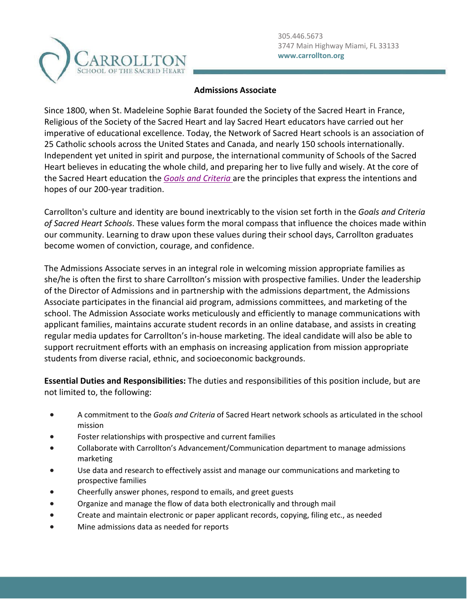

## **Admissions Associate**

Since 1800, when St. Madeleine Sophie Barat founded the Society of the Sacred Heart in France, Religious of the Society of the Sacred Heart and lay Sacred Heart educators have carried out her imperative of educational excellence. Today, the Network of Sacred Heart schools is an association of 25 Catholic schools across the United States and Canada, and nearly 150 schools internationally. Independent yet united in spirit and purpose, the international community of Schools of the Sacred Heart believes in educating the whole child, and preparing her to live fully and wisely. At the core of the Sacred Heart education the *[Goals and Criteria](https://www.sacredheartusc.education/mission/goals-and-criteria)* are the principles that express the intentions and hopes of our 200-year tradition.

Carrollton's culture and identity are bound inextricably to the vision set forth in the *Goals and Criteria of Sacred Heart Schools*. These values form the moral compass that influence the choices made within our community. Learning to draw upon these values during their school days, Carrollton graduates become women of conviction, courage, and confidence.

The Admissions Associate serves in an integral role in welcoming mission appropriate families as she/he is often the first to share Carrollton's mission with prospective families. Under the leadership of the Director of Admissions and in partnership with the admissions department, the Admissions Associate participates in the financial aid program, admissions committees, and marketing of the school. The Admission Associate works meticulously and efficiently to manage communications with applicant families, maintains accurate student records in an online database, and assists in creating regular media updates for Carrollton's in-house marketing. The ideal candidate will also be able to support recruitment efforts with an emphasis on increasing application from mission appropriate students from diverse racial, ethnic, and socioeconomic backgrounds.

**Essential Duties and Responsibilities:** The duties and responsibilities of this position include, but are not limited to, the following:

- A commitment to the *Goals and Criteria* of Sacred Heart network schools as articulated in the school mission
- Foster relationships with prospective and current families
- Collaborate with Carrollton's Advancement/Communication department to manage admissions marketing
- Use data and research to effectively assist and manage our communications and marketing to prospective families
- Cheerfully answer phones, respond to emails, and greet guests
- Organize and manage the flow of data both electronically and through mail
- Create and maintain electronic or paper applicant records, copying, filing etc., as needed
- Mine admissions data as needed for reports